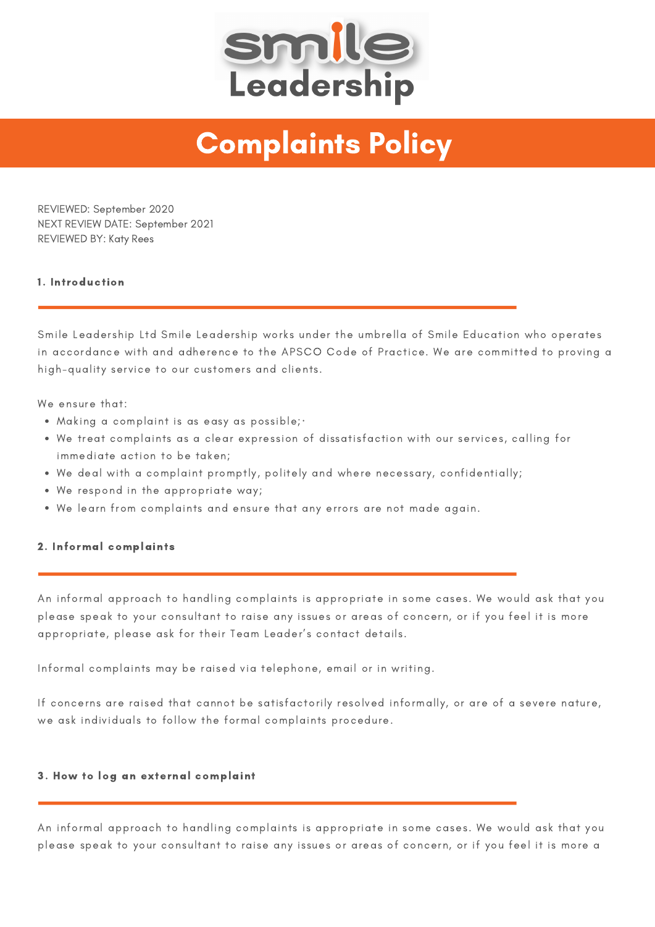

## Complaints Policy

REVIEWED: September 2020 NEXT REVIEW DATE: September 2021 REVIEWED BY: Katy Rees

## 1. Introduction

Smile Leadership Ltd Smile Leadership works under the umbrella of Smile Education who operates in accordance with and adherence to the APSCO Code of Practice. We are committed to proving a high-quality service to our customers and clients.

We ensure that:

- Making a complaint is as easy as possible;·
- We treat complaints as a clear expression of dissatisfaction with our services, calling for immediate action to be taken;
- We deal with a complaint promptly, politely and where necessary, confidentially;
- We respond in the appropriate way;
- We learn from complaints and ensure that any errors are not made again.

## 2. Informal complaints

An informal approach to handling complaints is appropriate in some cases. We would ask that you please speak to your consultant to raise any issues or areas of concern, or if you feel it is more appropriate, please ask for their Team Leader's contact details.

Informal complaints may be raised via telephone, email or in writing.

If concerns are raised that cannot be satisfactorily resolved informally, or are of a severe nature, we ask individuals to follow the formal complaints procedure.

## 3. How to log an external complaint

An informal approach to handling complaints is appropriate in some cases. We would ask that you please speak to your consultant to raise any issues or areas of concern, or if you feel it is more a